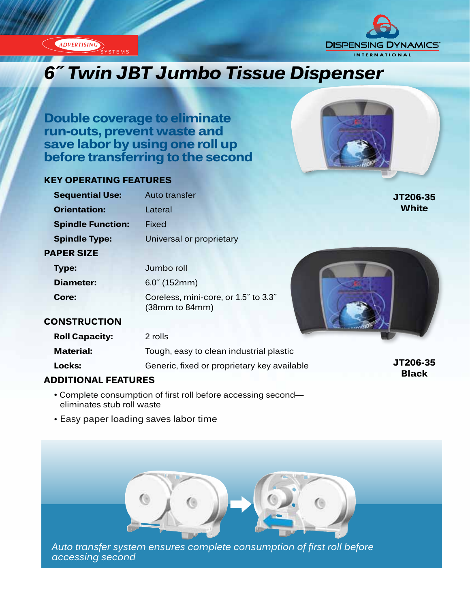



**Black**

# *6˝ Twin JBT Jumbo Tissue Dispenser*

**Double coverage to eliminate run-outs, prevent waste and save labor by using one roll up before transferring to the second**

#### **KEY OPERATING FEATURES**

| <b>Sequential Use:</b>   | Auto transfer                                          | JT206-35     |
|--------------------------|--------------------------------------------------------|--------------|
| <b>Orientation:</b>      | Lateral                                                | <b>White</b> |
| <b>Spindle Function:</b> | Fixed                                                  |              |
| <b>Spindle Type:</b>     | Universal or proprietary                               |              |
| <b>PAPER SIZE</b>        |                                                        |              |
| Type:                    | Jumbo roll                                             |              |
| <b>Diameter:</b>         | $6.0^{\circ}$ (152mm)                                  |              |
| Core:                    | Coreless, mini-core, or 1.5" to 3.3"<br>(38mm to 84mm) |              |
| <b>CONSTRUCTION</b>      |                                                        |              |
| <b>Roll Capacity:</b>    | 2 rolls                                                |              |
| <b>Material:</b>         | Tough, easy to clean industrial plastic                |              |
| Locks:                   | Generic, fixed or proprietary key available            | JT206-35     |

#### **ADDITIONAL FEATURES**

- Complete consumption of first roll before accessing second eliminates stub roll waste
- Easy paper loading saves labor time



*Auto transfer system ensures complete consumption of first roll before accessing second*